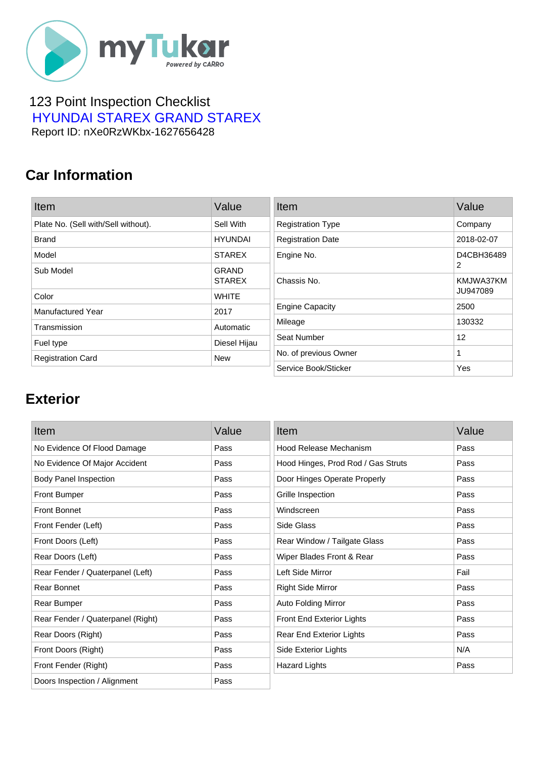

#### 123 Point Inspection Checklist  [HYUNDAI STAREX GRAND STAREX](https://mytukar.com/q/EWNPZM) Report ID: nXe0RzWKbx-1627656428

### **Car Information**

| Item                                | Value                | Item                     | Value      |
|-------------------------------------|----------------------|--------------------------|------------|
| Plate No. (Sell with/Sell without). | Sell With            | <b>Registration Type</b> | Company    |
| <b>Brand</b>                        | <b>HYUNDAI</b>       | <b>Registration Date</b> | 2018-02-07 |
| Model                               | <b>STAREX</b>        | Engine No.               | D4CBH36489 |
| Sub Model                           | <b>GRAND</b>         |                          | 2          |
|                                     | <b>STAREX</b>        | Chassis No.              | KMJWA37KM  |
| Color                               | <b>WHITE</b>         |                          | JU947089   |
| Manufactured Year                   | 2017                 | <b>Engine Capacity</b>   | 2500       |
| Transmission                        | Automatic            | Mileage                  | 130332     |
| Fuel type                           | Diesel Hijau         | Seat Number              | 12         |
| <b>Registration Card</b>            | <b>New</b>           | No. of previous Owner    |            |
|                                     | Service Book/Sticker | Yes                      |            |

### **Exterior**

| Item                              | Value | Item                               | Value |
|-----------------------------------|-------|------------------------------------|-------|
| No Evidence Of Flood Damage       | Pass  | Hood Release Mechanism             | Pass  |
| No Evidence Of Major Accident     | Pass  | Hood Hinges, Prod Rod / Gas Struts | Pass  |
| <b>Body Panel Inspection</b>      | Pass  | Door Hinges Operate Properly       | Pass  |
| <b>Front Bumper</b>               | Pass  | Grille Inspection                  | Pass  |
| Front Bonnet                      | Pass  | Windscreen                         | Pass  |
| Front Fender (Left)               | Pass  | Side Glass                         | Pass  |
| Front Doors (Left)                | Pass  | Rear Window / Tailgate Glass       | Pass  |
| Rear Doors (Left)                 | Pass  | Wiper Blades Front & Rear          | Pass  |
| Rear Fender / Quaterpanel (Left)  | Pass  | Left Side Mirror                   | Fail  |
| Rear Bonnet                       | Pass  | <b>Right Side Mirror</b>           | Pass  |
| Rear Bumper                       | Pass  | Auto Folding Mirror                | Pass  |
| Rear Fender / Quaterpanel (Right) | Pass  | Front End Exterior Lights          | Pass  |
| Rear Doors (Right)                | Pass  | <b>Rear End Exterior Lights</b>    | Pass  |
| Front Doors (Right)               | Pass  | Side Exterior Lights               | N/A   |
| Front Fender (Right)              | Pass  | <b>Hazard Lights</b>               | Pass  |
| Doors Inspection / Alignment      | Pass  |                                    |       |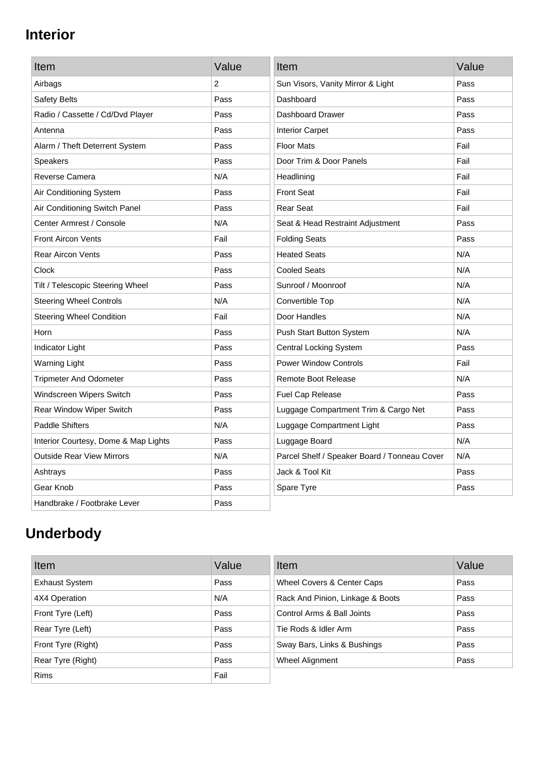## **Interior**

| Item                                 | Value | Item                                         | Value |
|--------------------------------------|-------|----------------------------------------------|-------|
| Airbags                              | 2     | Sun Visors, Vanity Mirror & Light            | Pass  |
| Safety Belts                         | Pass  | Dashboard                                    | Pass  |
| Radio / Cassette / Cd/Dvd Player     | Pass  | Dashboard Drawer                             | Pass  |
| Antenna                              | Pass  | <b>Interior Carpet</b>                       | Pass  |
| Alarm / Theft Deterrent System       | Pass  | <b>Floor Mats</b>                            | Fail  |
| <b>Speakers</b>                      | Pass  | Door Trim & Door Panels                      | Fail  |
| Reverse Camera                       | N/A   | Headlining                                   | Fail  |
| Air Conditioning System              | Pass  | <b>Front Seat</b>                            | Fail  |
| Air Conditioning Switch Panel        | Pass  | <b>Rear Seat</b>                             | Fail  |
| Center Armrest / Console             | N/A   | Seat & Head Restraint Adjustment             | Pass  |
| <b>Front Aircon Vents</b>            | Fail  | <b>Folding Seats</b>                         | Pass  |
| <b>Rear Aircon Vents</b>             | Pass  | <b>Heated Seats</b>                          | N/A   |
| Clock                                | Pass  | <b>Cooled Seats</b>                          | N/A   |
| Tilt / Telescopic Steering Wheel     | Pass  | Sunroof / Moonroof                           | N/A   |
| <b>Steering Wheel Controls</b>       | N/A   | Convertible Top                              | N/A   |
| <b>Steering Wheel Condition</b>      | Fail  | Door Handles                                 | N/A   |
| Horn                                 | Pass  | Push Start Button System                     | N/A   |
| Indicator Light                      | Pass  | <b>Central Locking System</b>                | Pass  |
| <b>Warning Light</b>                 | Pass  | <b>Power Window Controls</b>                 | Fail  |
| <b>Tripmeter And Odometer</b>        | Pass  | <b>Remote Boot Release</b>                   | N/A   |
| Windscreen Wipers Switch             | Pass  | Fuel Cap Release                             | Pass  |
| Rear Window Wiper Switch             | Pass  | Luggage Compartment Trim & Cargo Net         | Pass  |
| <b>Paddle Shifters</b>               | N/A   | Luggage Compartment Light                    | Pass  |
| Interior Courtesy, Dome & Map Lights | Pass  | Luggage Board                                | N/A   |
| <b>Outside Rear View Mirrors</b>     | N/A   | Parcel Shelf / Speaker Board / Tonneau Cover | N/A   |
| Ashtrays                             | Pass  | Jack & Tool Kit                              | Pass  |
| Gear Knob                            | Pass  | Spare Tyre                                   | Pass  |
| Handbrake / Footbrake Lever          | Pass  |                                              |       |

# **Underbody**

| Item                  | Value | Item                             | Value |
|-----------------------|-------|----------------------------------|-------|
| <b>Exhaust System</b> | Pass  | Wheel Covers & Center Caps       | Pass  |
| 4X4 Operation         | N/A   | Rack And Pinion, Linkage & Boots | Pass  |
| Front Tyre (Left)     | Pass  | Control Arms & Ball Joints       | Pass  |
| Rear Tyre (Left)      | Pass  | Tie Rods & Idler Arm             | Pass  |
| Front Tyre (Right)    | Pass  | Sway Bars, Links & Bushings      | Pass  |
| Rear Tyre (Right)     | Pass  | Wheel Alignment                  | Pass  |
| <b>Rims</b>           | Fail  |                                  |       |